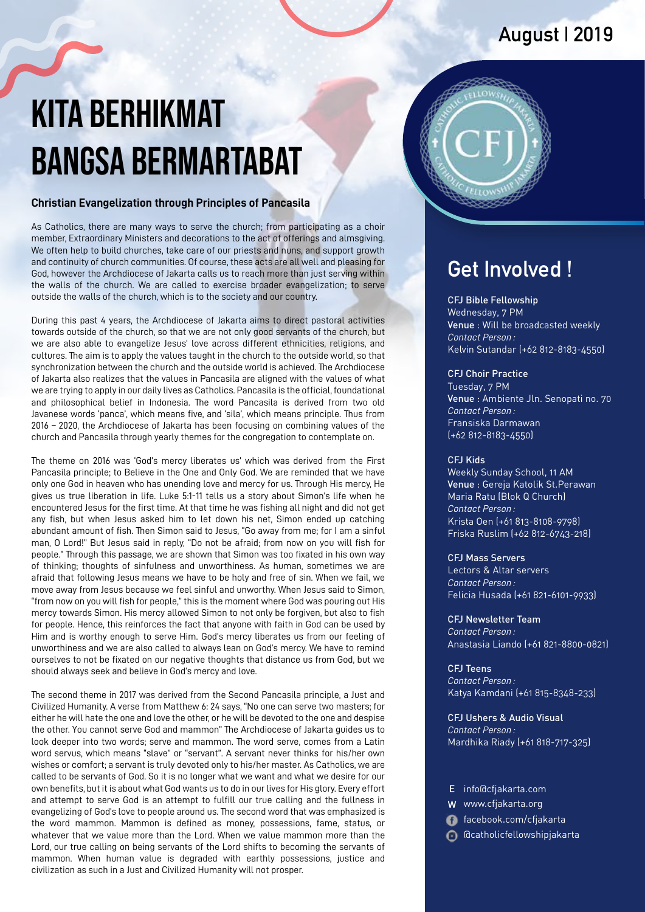# **August | 2019**

# Kita Berhikmat Bangsa Bermartabat

#### **Christian Evangelization through Principles of Pancasila**

As Catholics, there are many ways to serve the church; from participating as a choir member, Extraordinary Ministers and decorations to the act of offerings and almsgiving. We often help to build churches, take care of our priests and nuns, and support growth and continuity of church communities. Of course, these acts are all well and pleasing for God, however the Archdiocese of Jakarta calls us to reach more than just serving within the walls of the church. We are called to exercise broader evangelization; to serve outside the walls of the church, which is to the society and our country.

During this past 4 years, the Archdiocese of Jakarta aims to direct pastoral activities towards outside of the church, so that we are not only good servants of the church, but we are also able to evangelize Jesus' love across different ethnicities, religions, and cultures. The aim is to apply the values taught in the church to the outside world, so that synchronization between the church and the outside world is achieved. The Archdiocese of Jakarta also realizes that the values in Pancasila are aligned with the values of what we are trying to apply in our daily lives as Catholics. Pancasila is the official, foundational and philosophical belief in Indonesia. The word Pancasila is derived from two old Javanese words 'panca', which means five, and 'sila', which means principle. Thus from 2016 – 2020, the Archdiocese of Jakarta has been focusing on combining values of the church and Pancasila through yearly themes for the congregation to contemplate on.

The theme on 2016 was 'God's mercy liberates us' which was derived from the First Pancasila principle; to Believe in the One and Only God. We are reminded that we have only one God in heaven who has unending love and mercy for us. Through His mercy, He gives us true liberation in life. Luke 5:1-11 tells us a story about Simon's life when he encountered Jesus for the first time. At that time he was fishing all night and did not get any fish, but when Jesus asked him to let down his net, Simon ended up catching abundant amount of fish. Then Simon said to Jesus, "Go away from me; for I am a sinful man, O Lord!" But Jesus said in reply, "Do not be afraid; from now on you will fish for people." Through this passage, we are shown that Simon was too fixated in his own way of thinking; thoughts of sinfulness and unworthiness. As human, sometimes we are afraid that following Jesus means we have to be holy and free of sin. When we fail, we move away from Jesus because we feel sinful and unworthy. When Jesus said to Simon, "from now on you will fish for people," this is the moment where God was pouring out His mercy towards Simon. His mercy allowed Simon to not only be forgiven, but also to fish for people. Hence, this reinforces the fact that anyone with faith in God can be used by Him and is worthy enough to serve Him. God's mercy liberates us from our feeling of unworthiness and we are also called to always lean on God's mercy. We have to remind ourselves to not be fixated on our negative thoughts that distance us from God, but we should always seek and believe in God's mercy and love.

The second theme in 2017 was derived from the Second Pancasila principle, a Just and Civilized Humanity. A verse from Matthew 6: 24 says, "No one can serve two masters; for either he will hate the one and love the other, or he will be devoted to the one and despise the other. You cannot serve God and mammon" The Archdiocese of Jakarta guides us to look deeper into two words; serve and mammon. The word serve, comes from a Latin word servus, which means "slave" or "servant". A servant never thinks for his/her own wishes or comfort; a servant is truly devoted only to his/her master. As Catholics, we are called to be servants of God. So it is no longer what we want and what we desire for our own benefits, but it is about what God wants us to do in our lives for His glory. Every effort and attempt to serve God is an attempt to fulfill our true calling and the fullness in evangelizing of God's love to people around us. The second word that was emphasized is the word mammon. Mammon is defined as money, possessions, fame, status, or whatever that we value more than the Lord. When we value mammon more than the Lord, our true calling on being servants of the Lord shifts to becoming the servants of mammon. When human value is degraded with earthly possessions, justice and civilization as such in a Just and Civilized Humanity will not prosper.



## **Get Involved !**

#### CFJ Bible Fellowship

Wednesday, 7 PM Venue : Will be broadcasted weekly *Contact Person :* Kelvin Sutandar (+62 812-8183-4550)

#### CFJ Choir Practice

Tuesday, 7 PM Venue : Ambiente Jln. Senopati no. 70 *Contact Person :* Fransiska Darmawan (+62 812-8183-4550)

#### CFJ Kids

Weekly Sunday School, 11 AM Venue : Gereja Katolik St.Perawan *Contact Person :* Krista Oen (+61 813-8108-9798) Friska Ruslim (+62 812-6743-218) Maria Ratu (Blok Q Church)

#### CFJ Mass Servers

Lectors & Altar servers *Contact Person :* Felicia Husada (+61 821-6101-9933)

CFJ Newsletter Team *Contact Person :* Anastasia Liando (+61 821-8800-0821)

CFJ Teens *Contact Person :* Katya Kamdani (+61 815-8348-233)

CFJ Ushers & Audio Visual *Contact Person :* Mardhika Riady (+61 818-717-325)

- E info@cfjakarta.com
- W www.cfjakarta.org
- facebook.com/cfjakarta
- @catholicfellowshipjakarta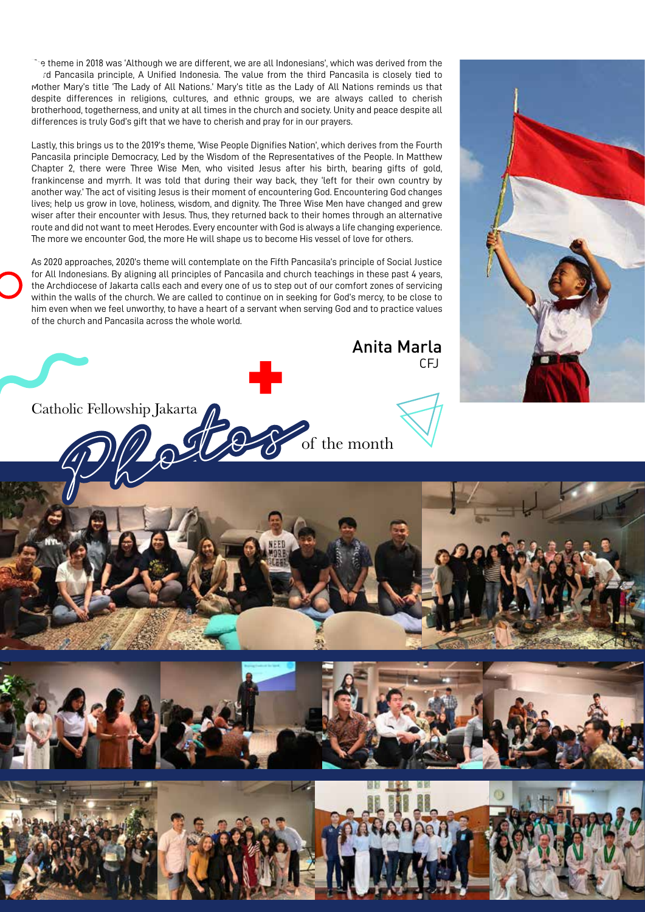$\degree$  s theme in 2018 was 'Although we are different, we are all Indonesians', which was derived from the rd Pancasila principle, A Unified Indonesia. The value from the third Pancasila is closely tied to Mother Mary's title 'The Lady of All Nations.' Mary's title as the Lady of All Nations reminds us that despite differences in religions, cultures, and ethnic groups, we are always called to cherish brotherhood, togetherness, and unity at all times in the church and society. Unity and peace despite all differences is truly God's gift that we have to cherish and pray for in our prayers.

Lastly, this brings us to the 2019's theme, 'Wise People Dignifies Nation', which derives from the Fourth Pancasila principle Democracy, Led by the Wisdom of the Representatives of the People. In Matthew Chapter 2, there were Three Wise Men, who visited Jesus after his birth, bearing gifts of gold, frankincense and myrrh. It was told that during their way back, they 'left for their own country by another way.' The act of visiting Jesus is their moment of encountering God. Encountering God changes lives; help us grow in love, holiness, wisdom, and dignity. The Three Wise Men have changed and grew wiser after their encounter with Jesus. Thus, they returned back to their homes through an alternative route and did not want to meet Herodes. Every encounter with God is always a life changing experience. The more we encounter God, the more He will shape us to become His vessel of love for others.

As 2020 approaches, 2020's theme will contemplate on the Fifth Pancasila's principle of Social Justice for All Indonesians. By aligning all principles of Pancasila and church teachings in these past 4 years, the Archdiocese of Jakarta calls each and every one of us to step out of our comfort zones of servicing within the walls of the church. We are called to continue on in seeking for God's mercy, to be close to him even when we feel unworthy, to have a heart of a servant when serving God and to practice values of the church and Pancasila across the whole world.







Anita Marla

CFJ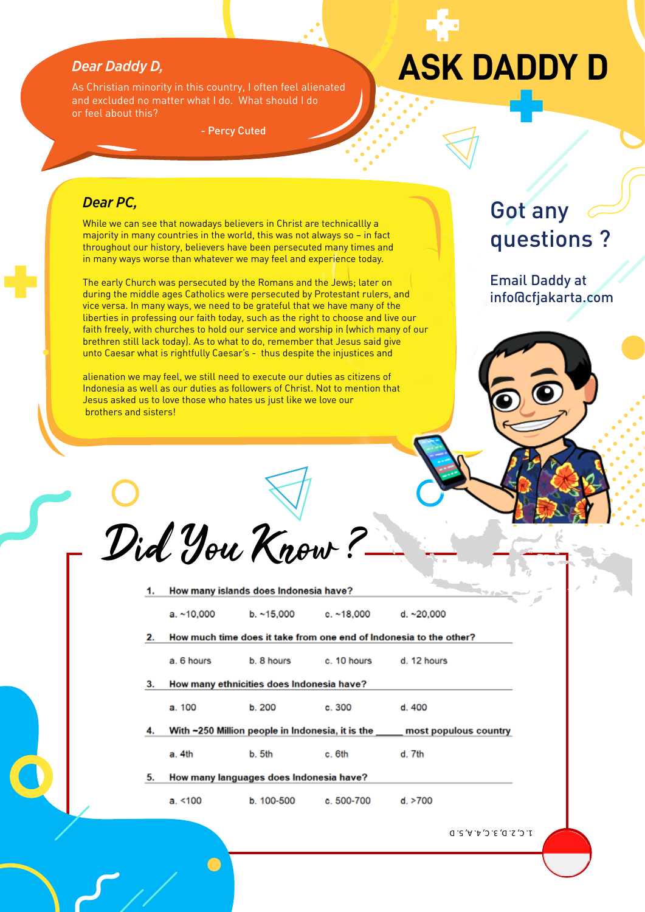### *Dear Daddy D,*

As Christian minority in this country, I often feel alienated and excluded no matter what I do. What should I do or feel about this?

- Percy Cuted

# **ASK DADDY D**

## *Dear PC,*

While we can see that nowadays believers in Christ are technicallly a majority in many countries in the world, this was not always so – in fact throughout our history, believers have been persecuted many times and in many ways worse than whatever we may feel and experience today.

The early Church was persecuted by the Romans and the Jews; later on during the middle ages Catholics were persecuted by Protestant rulers, and vice versa. In many ways, we need to be grateful that we have many of the liberties in professing our faith today, such as the right to choose and live our faith freely, with churches to hold our service and worship in (which many of our brethren still lack today). As to what to do, remember that Jesus said give unto Caesar what is rightfully Caesar's - thus despite the injustices and

alienation we may feel, we still need to execute our duties as citizens of Indonesia as well as our duties as followers of Christ. Not to mention that Jesus asked us to love those who hates us just like we love our brothers and sisters!

Got any questions ?

Email Daddy at info@cfjakarta.com



| a. ~10,000<br>a. 6 hours<br>How many ethnicities does Indonesia have? | How many islands does Indonesia have?<br>b.~15,000<br>b. 8 hours | c. $~18,000$<br>c. 10 hours | <u> Qip easta a</u><br>d. $~20,000$<br>How much time does it take from one end of Indonesia to the other?<br>d. 12 hours |
|-----------------------------------------------------------------------|------------------------------------------------------------------|-----------------------------|--------------------------------------------------------------------------------------------------------------------------|
|                                                                       |                                                                  |                             |                                                                                                                          |
|                                                                       |                                                                  |                             |                                                                                                                          |
|                                                                       |                                                                  |                             |                                                                                                                          |
|                                                                       |                                                                  |                             |                                                                                                                          |
|                                                                       |                                                                  |                             |                                                                                                                          |
| a. 100                                                                | b. 200                                                           | c. 300                      | d. 400                                                                                                                   |
|                                                                       |                                                                  |                             | most populous country                                                                                                    |
| a. 4th                                                                | b. 5th                                                           | c. 6th                      | d. 7th                                                                                                                   |
|                                                                       |                                                                  |                             |                                                                                                                          |
| a. < 100                                                              | b. 100-500                                                       | $c.500-700$                 | d. > 700                                                                                                                 |
|                                                                       |                                                                  |                             | With ~250 Million people in Indonesia, it is the<br>How many languages does Indonesia have?                              |